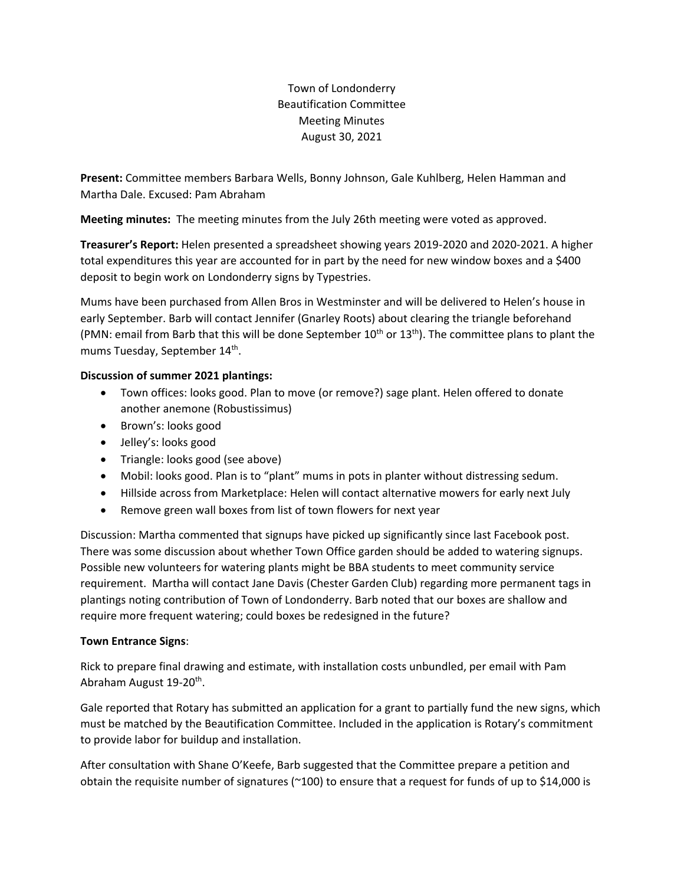Town of Londonderry Beautification Committee Meeting Minutes August 30, 2021

**Present:** Committee members Barbara Wells, Bonny Johnson, Gale Kuhlberg, Helen Hamman and Martha Dale. Excused: Pam Abraham

**Meeting minutes:** The meeting minutes from the July 26th meeting were voted as approved.

**Treasurer's Report:** Helen presented a spreadsheet showing years 2019-2020 and 2020-2021. A higher total expenditures this year are accounted for in part by the need for new window boxes and a \$400 deposit to begin work on Londonderry signs by Typestries.

Mums have been purchased from Allen Bros in Westminster and will be delivered to Helen's house in early September. Barb will contact Jennifer (Gnarley Roots) about clearing the triangle beforehand (PMN: email from Barb that this will be done September  $10^{th}$  or  $13^{th}$ ). The committee plans to plant the mums Tuesday, September 14<sup>th</sup>.

## **Discussion of summer 2021 plantings:**

- Town offices: looks good. Plan to move (or remove?) sage plant. Helen offered to donate another anemone (Robustissimus)
- Brown's: looks good
- Jelley's: looks good
- Triangle: looks good (see above)
- Mobil: looks good. Plan is to "plant" mums in pots in planter without distressing sedum.
- Hillside across from Marketplace: Helen will contact alternative mowers for early next July
- Remove green wall boxes from list of town flowers for next year

Discussion: Martha commented that signups have picked up significantly since last Facebook post. There was some discussion about whether Town Office garden should be added to watering signups. Possible new volunteers for watering plants might be BBA students to meet community service requirement. Martha will contact Jane Davis (Chester Garden Club) regarding more permanent tags in plantings noting contribution of Town of Londonderry. Barb noted that our boxes are shallow and require more frequent watering; could boxes be redesigned in the future?

## **Town Entrance Signs**:

Rick to prepare final drawing and estimate, with installation costs unbundled, per email with Pam Abraham August 19-20<sup>th</sup>.

Gale reported that Rotary has submitted an application for a grant to partially fund the new signs, which must be matched by the Beautification Committee. Included in the application is Rotary's commitment to provide labor for buildup and installation.

After consultation with Shane O'Keefe, Barb suggested that the Committee prepare a petition and obtain the requisite number of signatures (~100) to ensure that a request for funds of up to \$14,000 is